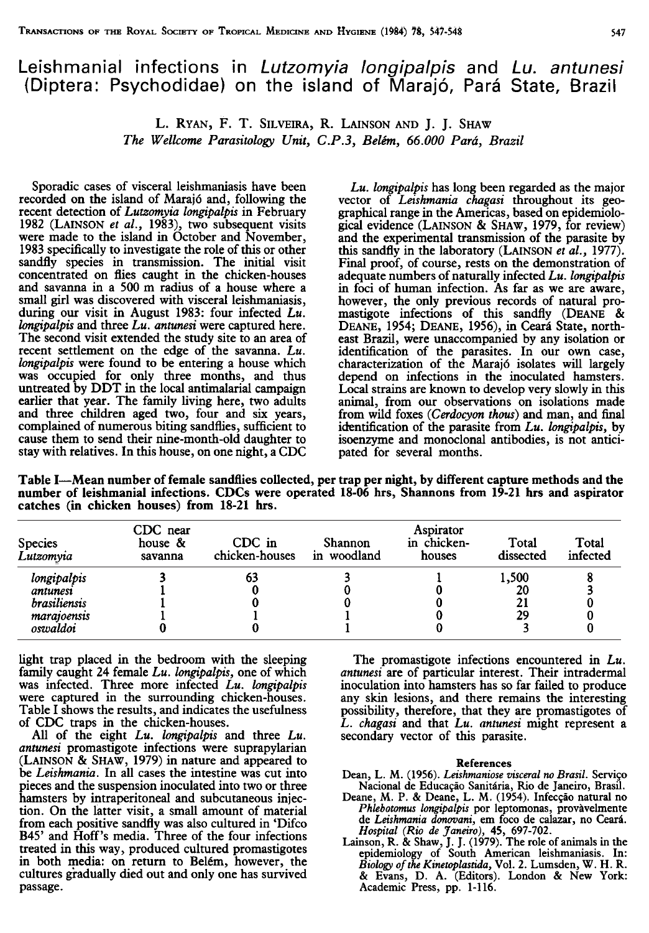## Leishmanial infections in Lutzomyia longipalpis and Lu. antunesi (Diptera: Psychodidae) on the island of Marajó, Pará State, Brazil

L. RYAN, F. T. SILVElRA, R. LAINSON AND J. J. SHAW The Wellcome Parasitology Unir, C.P.3, Belém, 66.000 Pará, Brazil

Sporadic cases of visceral leishmaniasis have been recorded on the island of Maraió and, following the recent detection of Lutzomyia longipalpis in February 1982 (LAINSON et al., 1983), two subsequent visits were made to the island in October and November, 1983 specifically to investigate the role of this or other sandfly species in transmission. The initial visit concentrated on flies caught in the chicken-houses and savanna in a SOO m radius of a house where a small girl was discovered with visceral leishmaniasis, during our visit in August 1983: four infected Lu. longipalpis and three Lu. antunesi were captured here. The second visit extended the study site to an area of recent settlement on the edge of the savanna. Lu. longipalpis were found to be entering a house which was occupied for only three months, and thus untreated by DDT in the local antimalarial campaign earlier that year. The family living here, two adults and three children aged two, four and six years, complained of numerous biting sandflies, sufficient to cause them to send their nine-month-old daughter to stay with relatives. In this house, on one night, a CDC

 $Lu$ . longipalpis has long been regarded as the major vector of Leishmania chagasi throughout its geographical range in the Americas, based on epidemiological evidence (LAINSON & SHAW, 1979, for review) and the experimental transmission of the parasite by this sandfly in the laboratory (LAINSON et  $al.$ , 1977). Final proof, of course, rests on the demonstration of adequate numbers of naturally infected Lu. longipalpis in foci of human infection. As far as we are aware, however, the only previous records of natural promastigote infections of this sandfly (DEANE & DEANE, 1954; DEANE, 1956), in Ceará State, northeast Brazil, were unaccompanied by any isolation or identification of the parasites. In our own case, characterization of the Marajó isolates will largely depend on infections in the inoculated hamsters. Local strains are known to develop very slowly in this animal, from our observations on isolations made from wild foxes (Cerdocyon thous) and man, and final identification of the parasite from Lu. longipalpis, by isoenzyme and monoclonal antibodies, is not anticipated for several months.

Table I-Mean number of female sandflies collected, per trap per night, by different capture methods and the number of leishmanial infections. CDCs were operated 18-06 hrs, Shannons from 19-21 hrs and aspirator catches (in chicken houses) from 18-21 hrs.

| <b>Species</b><br>Lutzomvia | CDC near<br>house &<br>savanna | CDC in<br>chicken-houses | Shannon<br>in woodland | Aspirator<br>in chicken-<br>houses | Total<br>dissected | Total<br>infected |
|-----------------------------|--------------------------------|--------------------------|------------------------|------------------------------------|--------------------|-------------------|
| longipalpis                 |                                | 63                       |                        |                                    | 1,500              |                   |
| antunesi                    |                                |                          |                        |                                    | 20                 |                   |
| <i>brasiliensis</i>         |                                |                          |                        |                                    |                    |                   |
| maratoensis                 |                                |                          |                        |                                    | 29                 |                   |
| oswaldoi                    |                                |                          |                        |                                    |                    |                   |

light trap placed in the bedroom with the sleeping family caught 24 female Lu. longipalpis, one of which was infected. Three more infected Lu. longipalpis were captured in the surrounding chicken-houses. Table I shows the results, and indicates the usefulness of CDC traps in the chicken-houses.

All of the eight Lu. longipalpis and three Lu. antunesi promastigote infections were suprapylarian (LAINSON & SHAW, 1979) in nature and appeared to be *Leishmania*. In all cases the intestine was cut into pieces and the suspension inoculated into two or three hamsters by intraperitoneal and subcutaneous injection. On the latter visit, a small amount of material from each positive sandfly was also cultured in 'Difco B45' and Hoff's media. Three of the four infections treated in this way, produced cultured promastigotes in both media: on return to Belém, however, the cultures gradually died out and only one has survived passage.

The promastigote infections encountered in Lu. antunesi are of particular interest. Their intradermal inoculation into hamsters has so far failed to produce any skin lesions, and there remains the interesting possibility, therefore, that they are promastigotes of L. chagasi and that Lu. antunesi might represent a secondary vector of this parasite.

## References

- Dean, L. M. (1956). Leishmaniose visceral no Brasil. Serviço Nacional de Educação Sanitária, Rio de Janeiro, Brasil.
- Deane, M. P. & Deane, L. M. (1954). Infecção natural no Phlebotomus longipalpis por leptomonas, provàvelmente de Leishmania donovani, em foco de calazar, no Ceará.
- Hospital (Rio de Janeiro), 45, 697-702.<br>Lainson, R. & Shaw, J. J. (1979). The role of animals in the<br>epidemiology of South American leishmaniasis. In:<br>Biology of the Kinetoplastida, Vol. 2. Lumsden, W. H. R. & Evans, D. A. (Editors). London & New York: Academic Press, pp. 1-116.